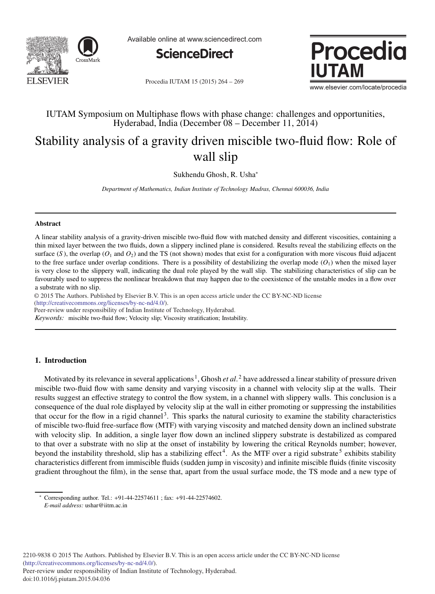

Available online at www.sciencedirect.com



Procedia IUTAM 15 (2015) 264 - 269



www.elsevier.com/locate/procedia

## IUTAM Symposium on Multiphase flows with phase change: challenges and opportunities, Hyderabad, India (December 08 – December 11, 2014)

# Stability analysis of a gravity driven miscible two-fluid flow: Role of wall slip

Sukhendu Ghosh, R. Usha<sup>∗</sup>

*Department of Mathematics, Indian Institute of Technology Madras, Chennai 600036, India*

#### **Abstract**

A linear stability analysis of a gravity-driven miscible two-fluid flow with matched density and different viscosities, containing a thin mixed layer between the two fluids, down a slippery inclined plane is considered. Results reveal the stabilizing effects on the surface  $(S)$ , the overlap  $(O_1 \text{ and } O_2)$  and the TS (not shown) modes that exist for a configuration with more viscous fluid adjacent to the free surface under overlap conditions. There is a possibility of destabilizing the overlap mode  $(O_1)$  when the mixed layer is very close to the slippery wall, indicating the dual role played by the wall slip. The stabilizing characteristics of slip can be favourably used to suppress the nonlinear breakdown that may happen due to the coexistence of the unstable modes in a flow over a substrate with no slip.

c 2014 The Authors. Published by Elsevier B.V. © 2015 The Authors. Published by Elsevier B.V. This is an open access article under the CC BY-NC-ND license (http://creativecommons.org/licenses/by-nc-nd/4.0/).

Peer-review under responsibility of Indian Institute of Technology, Hyderabad.

*Keywords:* miscible two-fluid flow; Velocity slip; Viscosity stratification; Instability.

### **1. Introduction**

Motivated by its relevance in several applications<sup>1</sup>, Ghosh *et al*.<sup>2</sup> have addressed a linear stability of pressure driven miscible two-fluid flow with same density and varying viscosity in a channel with velocity slip at the walls. Their results suggest an effective strategy to control the flow system, in a channel with slippery walls. This conclusion is a consequence of the dual role displayed by velocity slip at the wall in either promoting or suppressing the instabilities that occur for the flow in a rigid channel<sup>3</sup>. This sparks the natural curiosity to examine the stability characteristics of miscible two-fluid free-surface flow (MTF) with varying viscosity and matched density down an inclined substrate with velocity slip. In addition, a single layer flow down an inclined slippery substrate is destabilized as compared to that over a substrate with no slip at the onset of instability by lowering the critical Reynolds number; however, beyond the instability threshold, slip has a stabilizing effect<sup>4</sup>. As the MTF over a rigid substrate<sup>5</sup> exhibits stability characteristics different from immiscible fluids (sudden jump in viscosity) and infinite miscible fluids (finite viscosity gradient throughout the film), in the sense that, apart from the usual surface mode, the TS mode and a new type of

<sup>∗</sup> Corresponding author. Tel.: +91-44-22574611 ; fax: +91-44-22574602. *E-mail address:* ushar@iitm.ac.in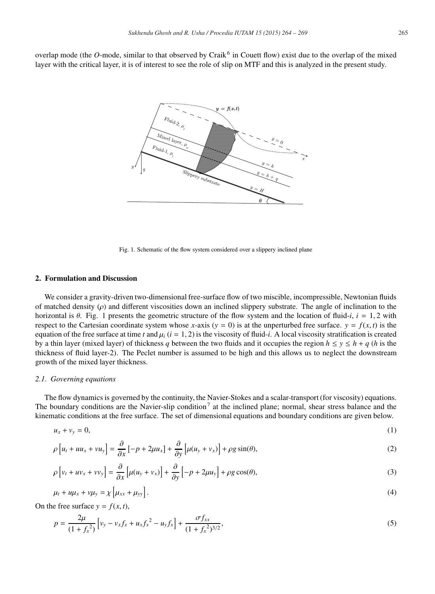overlap mode (the *O*-mode, similar to that observed by Craik<sup>6</sup> in Couett flow) exist due to the overlap of the mixed layer with the critical layer, it is of interest to see the role of slip on MTF and this is analyzed in the present study.



Fig. 1. Schematic of the flow system considered over a slippery inclined plane

#### **2. Formulation and Discussion**

We consider a gravity-driven two-dimensional free-surface flow of two miscible, incompressible, Newtonian fluids of matched density ( $\rho$ ) and different viscosities down an inclined slippery substrate. The angle of inclination to the horizontal is  $\theta$ . Fig. 1 presents the geometric structure of the flow system and the location of fluid-*i*,  $i = 1, 2$  with respect to the Cartesian coordinate system whose *x*-axis  $(y = 0)$  is at the unperturbed free surface.  $y = f(x, t)$  is the equation of the free surface at time *t* and  $\mu$ <sub>*i*</sub> (*i* = 1, 2) is the viscosity of fluid-*i*. A local viscosity stratification is created by a thin layer (mixed layer) of thickness *q* between the two fluids and it occupies the region  $h \le y \le h + q$  (*h* is the thickness of fluid layer-2). The Peclet number is assumed to be high and this allows us to neglect the downstream growth of the mixed layer thickness.

#### *2.1. Governing equations*

The flow dynamics is governed by the continuity, the Navier-Stokes and a scalar-transport (for viscosity) equations. The boundary conditions are the Navier-slip condition<sup>7</sup> at the inclined plane; normal, shear stress balance and the kinematic conditions at the free surface. The set of dimensional equations and boundary conditions are given below.

$$
u_x + v_y = 0,\t\t(1)
$$

$$
\rho \left[ u_t + u u_x + v u_y \right] = \frac{\partial}{\partial x} \left[ -p + 2\mu u_x \right] + \frac{\partial}{\partial y} \left[ \mu (u_y + v_x) \right] + \rho g \sin(\theta), \tag{2}
$$

$$
\rho \left[ v_t + u v_x + v v_y \right] = \frac{\partial}{\partial x} \left[ \mu (u_y + v_x) \right] + \frac{\partial}{\partial y} \left[ -p + 2\mu u_y \right] + \rho g \cos(\theta),\tag{3}
$$

$$
\mu_t + u\mu_x + v\mu_y = \chi \left[ \mu_{xx} + \mu_{yy} \right]. \tag{4}
$$

On the free surface  $y = f(x, t)$ ,

$$
p = \frac{2\mu}{(1 + f_x^2)} \left[ v_y - v_x f_x + u_x f_x^2 - u_y f_x \right] + \frac{\sigma f_{xx}}{(1 + f_x^2)^{3/2}},
$$
\n(5)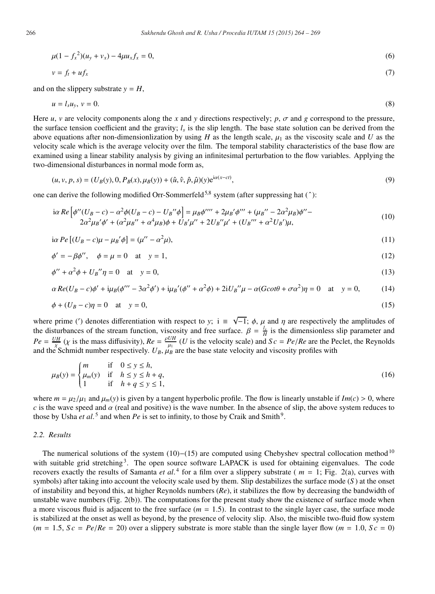$$
\mu(1 - f_x^2)(u_y + v_x) - 4\mu u_x f_x = 0,\tag{6}
$$

$$
v = f_t + u f_x \tag{7}
$$

and on the slippery substrate  $y = H$ ,

$$
u = l_s u_y, \quad v = 0. \tag{8}
$$

Here *u*, *v* are velocity components along the *x* and *y* directions respectively; *p*,  $\sigma$  and *g* correspond to the pressure, the surface tension coefficient and the gravity;  $l_s$  is the slip length. The base state solution can be derived from the above equations after non-dimensionlization by using *H* as the length scale,  $\mu_1$  as the viscosity scale and *U* as the velocity scale which is the average velocity over the film. The temporal stability characteristics of the base flow are examined using a linear stability analysis by giving an infinitesimal perturbation to the flow variables. Applying the two-dimensional disturbances in normal mode form as,

$$
(u, v, p, s) = (U_B(y), 0, P_B(x), \mu_B(y)) + (\hat{u}, \hat{v}, \hat{p}, \hat{\mu})(y)e^{i\alpha(x - ct)},
$$
\n(9)

one can derive the following modified Orr-Sommerfeld<sup>5,8</sup> system (after suppressing hat  $(^{\circ})$ ):

$$
i\alpha Re \left[ \phi''(U_B - c) - \alpha^2 \phi(U_B - c) - U_B'' \phi \right] = \mu_B \phi'''' + 2\mu_B' \phi''' + (\mu_B'' - 2\alpha^2 \mu_B) \phi'' - 2\alpha^2 \mu_B' \phi' + (\alpha^2 \mu_B'' + \alpha^4 \mu_B) \phi + U_B' \mu'' + 2U_B'' \mu' + (U_B'''' + \alpha^2 U_B') \mu,
$$
\n(10)

$$
i\alpha Pe[(U_B - c)\mu - \mu_B'\phi] = (\mu'' - \alpha^2\mu),\tag{11}
$$

$$
\phi' = -\beta \phi'', \quad \phi = \mu = 0 \quad \text{at} \quad y = 1,\tag{12}
$$

$$
\phi'' + \alpha^2 \phi + U_B'' \eta = 0 \quad \text{at} \quad y = 0,\tag{13}
$$

$$
\alpha Re(U_B - c)\phi' + i\mu_B(\phi''' - 3\alpha^2\phi') + i\mu_B'(\phi'' + \alpha^2\phi) + 2iU_B''\mu - \alpha(G\cot\theta + \sigma\alpha^2)\eta = 0 \quad \text{at} \quad y = 0,\tag{14}
$$

$$
\phi + (U_B - c)\eta = 0 \quad \text{at} \quad y = 0,\tag{15}
$$

where prime (') denotes differentiation with respect to *y*; i  $\equiv \sqrt{-1}$ ;  $\phi$ ,  $\mu$  and  $\eta$  are respectively the amplitudes of the disturbances of the stream function, viscosity and free surface.  $\beta = \frac{l_s}{H}$  is the dimensionless slip parameter and  $Pe = \frac{UH}{\chi}$  (*x* is the mass diffusivity),  $Re = \frac{\rho UH}{\mu_1}$  (*U* is the velocity scale) and  $Sc = Pe/Re$  are the Peclet, the Reynolds and the Schmidt number respectively.  $U_B$ ,  $\mu_B$  are the base state velocity and viscosity profiles with

$$
\mu_B(y) = \begin{cases}\nm & \text{if } 0 \le y \le h, \\
\mu_m(y) & \text{if } h \le y \le h + q, \\
1 & \text{if } h + q \le y \le 1,\n\end{cases}
$$
\n(16)

where  $m = \mu_2/\mu_1$  and  $\mu_m(y)$  is given by a tangent hyperbolic profile. The flow is linearly unstable if  $Im(c) > 0$ , where *c* is the wave speed and  $\alpha$  (real and positive) is the wave number. In the absence of slip, the above system reduces to those by Usha *et al.*<sup>5</sup> and when *Pe* is set to infinity, to those by Craik and Smith<sup>9</sup>.

#### *2.2. Results*

The numerical solutions of the system  $(10)–(15)$  are computed using Chebyshev spectral collocation method<sup>10</sup> with suitable grid stretching<sup>3</sup>. The open source software LAPACK is used for obtaining eigenvalues. The code recovers exactly the results of Samanta *et al*. <sup>4</sup> for a film over a slippery substrate ( *m* = 1; Fig. 2(a), curves with symbols) after taking into account the velocity scale used by them. Slip destabilizes the surface mode (*S* ) at the onset of instability and beyond this, at higher Reynolds numbers (*Re*), it stabilizes the flow by decreasing the bandwidth of unstable wave numbers (Fig. 2(b)). The computations for the present study show the existence of surface mode when a more viscous fluid is adjacent to the free surface  $(m = 1.5)$ . In contrast to the single layer case, the surface mode is stabilized at the onset as well as beyond, by the presence of velocity slip. Also, the miscible two-fluid flow system  $(m = 1.5, Sc = Pe/Re = 20)$  over a slippery substrate is more stable than the single layer flow  $(m = 1.0, Sc = 0)$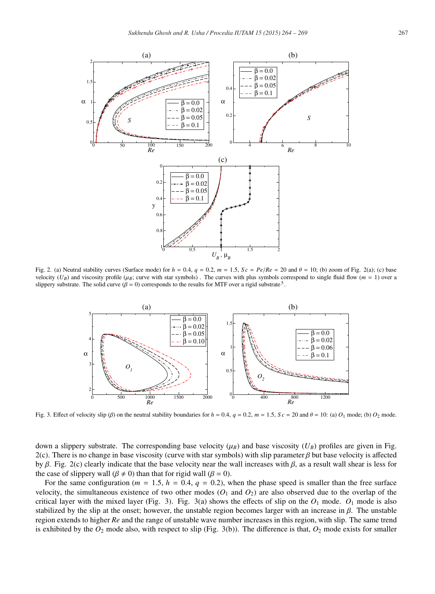

Fig. 2. (a) Neutral stability curves (Surface mode) for  $h = 0.4$ ,  $q = 0.2$ ,  $m = 1.5$ ,  $Sc = Pe/Re = 20$  and  $\theta = 10$ ; (b) zoom of Fig. 2(a); (c) base velocity  $(U_B)$  and viscosity profile ( $\mu_B$ ; curve with star symbols). The curves with plus symbols correspond to single fluid flow ( $m = 1$ ) over a slippery substrate. The solid curve  $(\beta = 0)$  corresponds to the results for MTF over a rigid substrate<sup>5</sup>.



Fig. 3. Effect of velocity slip (β) on the neutral stability boundaries for  $h = 0.4$ ,  $q = 0.2$ ,  $m = 1.5$ ,  $Sc = 20$  and  $θ = 10$ : (a)  $O_1$  mode; (b)  $O_2$  mode.

down a slippery substrate. The corresponding base velocity  $(\mu_B)$  and base viscosity  $(U_B)$  profiles are given in Fig. 2(c). There is no change in base viscosity (curve with star symbols) with slip parameter  $\beta$  but base velocity is affected by β. Fig. 2(c) clearly indicate that the base velocity near the wall increases with β, as a result wall shear is less for the case of slippery wall ( $\beta \neq 0$ ) than that for rigid wall ( $\beta = 0$ ).

For the same configuration ( $m = 1.5$ ,  $h = 0.4$ ,  $q = 0.2$ ), when the phase speed is smaller than the free surface velocity, the simultaneous existence of two other modes  $(O_1 \text{ and } O_2)$  are also observed due to the overlap of the critical layer with the mixed layer (Fig. 3). Fig. 3(a) shows the effects of slip on the *O*<sup>1</sup> mode. *O*<sup>1</sup> mode is also stabilized by the slip at the onset; however, the unstable region becomes larger with an increase in  $\beta$ . The unstable region extends to higher *Re* and the range of unstable wave number increases in this region, with slip. The same trend is exhibited by the  $O_2$  mode also, with respect to slip (Fig. 3(b)). The difference is that,  $O_2$  mode exists for smaller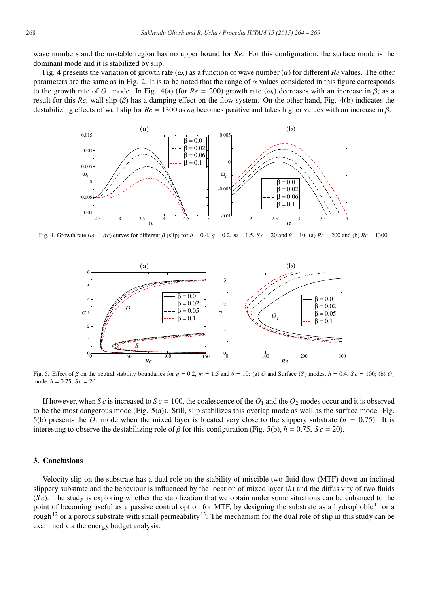wave numbers and the unstable region has no upper bound for *Re*. For this configuration, the surface mode is the dominant mode and it is stabilized by slip.

Fig. 4 presents the variation of growth rate  $(\omega_i)$  as a function of wave number  $(\alpha)$  for different *Re* values. The other parameters are the same as in Fig. 2. It is to be noted that the range of  $\alpha$  values considered in this figure corresponds to the growth rate of  $O_1$  mode. In Fig. 4(a) (for  $Re = 200$ ) growth rate ( $\omega_i$ ) decreases with an increase in  $\beta$ ; as a result for this *Re*, wall slip (β) has a damping effect on the flow system. On the other hand, Fig. 4(b) indicates the destabilizing effects of wall slip for  $Re = 1300$  as  $\omega_i$  becomes positive and takes higher values with an increase in  $\beta$ .



Fig. 4. Growth rate ( $\omega_i = \alpha c$ ) curves for different  $\beta$  (slip) for  $h = 0.4$ ,  $q = 0.2$ ,  $m = 1.5$ ,  $Sc = 20$  and  $\theta = 10$ : (a)  $Re = 200$  and (b)  $Re = 1300$ .



Fig. 5. Effect of  $\beta$  on the neutral stability boundaries for  $q = 0.2$ ,  $m = 1.5$  and  $\theta = 10$ : (a) *O* and Surface (*S*) modes,  $h = 0.4$ ,  $Sc = 100$ ; (b) *O*<sub>1</sub> mode,  $h = 0.75$ ,  $S_c = 20$ .

If however, when *S c* is increased to *S c* = 100, the coalescence of the  $O_1$  and the  $O_2$  modes occur and it is observed to be the most dangerous mode (Fig. 5(a)). Still, slip stabilizes this overlap mode as well as the surface mode. Fig. 5(b) presents the  $O_1$  mode when the mixed layer is located very close to the slippery substrate ( $h = 0.75$ ). It is interesting to observe the destabilizing role of  $\beta$  for this configuration (Fig. 5(b),  $h = 0.75$ ,  $Sc = 20$ ).

#### **3. Conclusions**

Velocity slip on the substrate has a dual role on the stability of miscible two fluid flow (MTF) down an inclined slippery substrate and the beheviour is influenced by the location of mixed layer (*h*) and the diffusivity of two fluids (*S c*). The study is exploring whether the stabilization that we obtain under some situations can be enhanced to the point of becoming useful as a passive control option for MTF, by designing the substrate as a hydrophobic<sup>11</sup> or a rough<sup>12</sup> or a porous substrate with small permeability<sup>13</sup>. The mechanism for the dual role of slip in this study can be examined via the energy budget analysis.